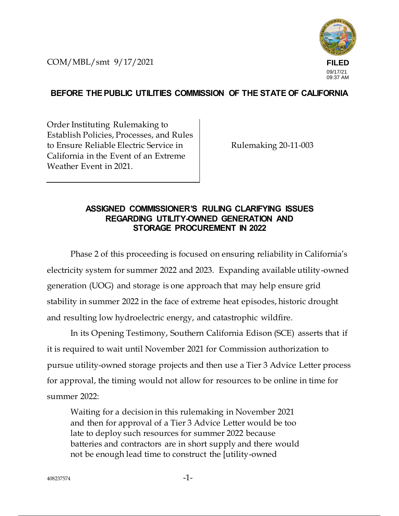COM/MBL/smt 9/17/2021



## **BEFORE THE PUBLIC UTILITIES COMMISSION OF THE STATE OF CALIFORNIA**

Order Instituting Rulemaking to Establish Policies, Processes, and Rules to Ensure Reliable Electric Service in California in the Event of an Extreme Weather Event in 2021.

Rulemaking 20-11-003

## **ASSIGNED COMMISSIONER'S RULING CLARIFYING ISSUES REGARDING UTILITY-OWNED GENERATION AND STORAGE PROCUREMENT IN 2022**

Phase 2 of this proceeding is focused on ensuring reliability in California's electricity system for summer 2022 and 2023. Expanding available utility-owned generation (UOG) and storage is one approach that may help ensure grid stability in summer 2022 in the face of extreme heat episodes, historic drought and resulting low hydroelectric energy, and catastrophic wildfire.

In its Opening Testimony, Southern California Edison (SCE) asserts that if it is required to wait until November 2021 for Commission authorization to pursue utility-owned storage projects and then use a Tier 3 Advice Letter process for approval, the timing would not allow for resources to be online in time for summer 2022:

Waiting for a decision in this rulemaking in November 2021 and then for approval of a Tier 3 Advice Letter would be too late to deploy such resources for summer 2022 because batteries and contractors are in short supply and there would not be enough lead time to construct the [utility-owned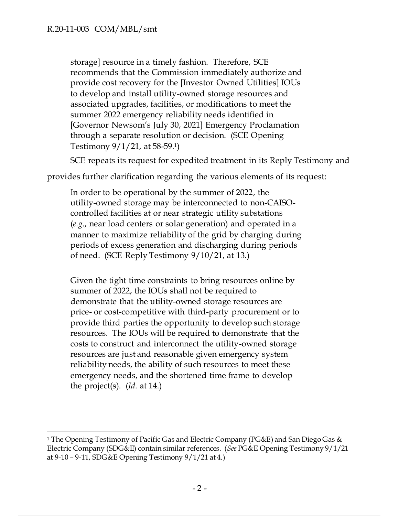storage] resource in a timely fashion. Therefore, SCE recommends that the Commission immediately authorize and provide cost recovery for the [Investor Owned Utilities] IOUs to develop and install utility-owned storage resources and associated upgrades, facilities, or modifications to meet the summer 2022 emergency reliability needs identified in [Governor Newsom's July 30, 2021] Emergency Proclamation through a separate resolution or decision. (SCE Opening Testimony 9/1/21, at 58-59.1)

SCE repeats its request for expedited treatment in its Reply Testimony and

provides further clarification regarding the various elements of its request:

In order to be operational by the summer of 2022, the utility-owned storage may be interconnected to non-CAISOcontrolled facilities at or near strategic utility substations (*e.g*., near load centers or solar generation) and operated in a manner to maximize reliability of the grid by charging during periods of excess generation and discharging during periods of need. (SCE Reply Testimony 9/10/21, at 13.)

Given the tight time constraints to bring resources online by summer of 2022, the IOUs shall not be required to demonstrate that the utility-owned storage resources are price- or cost-competitive with third-party procurement or to provide third parties the opportunity to develop such storage resources. The IOUs will be required to demonstrate that the costs to construct and interconnect the utility-owned storage resources are just and reasonable given emergency system reliability needs, the ability of such resources to meet these emergency needs, and the shortened time frame to develop the project(s). (*Id*. at 14.)

<sup>1</sup> The Opening Testimony of Pacific Gas and Electric Company (PG&E) and San Diego Gas & Electric Company (SDG&E) contain similar references. (*See* PG&E Opening Testimony 9/1/21 at 9-10 – 9-11, SDG&E Opening Testimony 9/1/21 at 4.)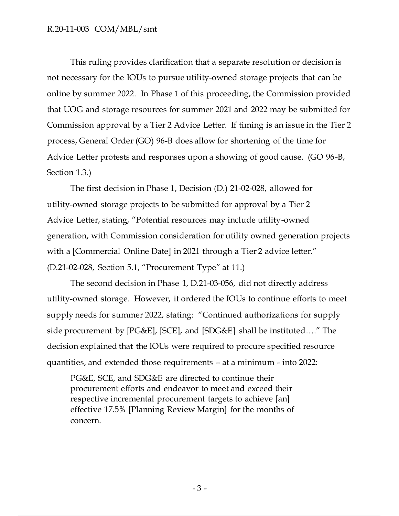## R.20-11-003 COM/MBL/smt

This ruling provides clarification that a separate resolution or decision is not necessary for the IOUs to pursue utility-owned storage projects that can be online by summer 2022. In Phase 1 of this proceeding, the Commission provided that UOG and storage resources for summer 2021 and 2022 may be submitted for Commission approval by a Tier 2 Advice Letter. If timing is an issue in the Tier 2 process, General Order (GO) 96-B does allow for shortening of the time for Advice Letter protests and responses upon a showing of good cause. (GO 96-B, Section 1.3.)

The first decision in Phase 1, Decision (D.) 21-02-028, allowed for utility-owned storage projects to be submitted for approval by a Tier 2 Advice Letter, stating, "Potential resources may include utility-owned generation, with Commission consideration for utility owned generation projects with a [Commercial Online Date] in 2021 through a Tier 2 advice letter." (D.21-02-028, Section 5.1, "Procurement Type" at 11.)

The second decision in Phase 1, D.21-03-056, did not directly address utility-owned storage. However, it ordered the IOUs to continue efforts to meet supply needs for summer 2022, stating: "Continued authorizations for supply side procurement by [PG&E], [SCE], and [SDG&E] shall be instituted…." The decision explained that the IOUs were required to procure specified resource quantities, and extended those requirements – at a minimum - into 2022:

PG&E, SCE, and SDG&E are directed to continue their procurement efforts and endeavor to meet and exceed their respective incremental procurement targets to achieve [an] effective 17.5% [Planning Review Margin] for the months of concern.

- 3 -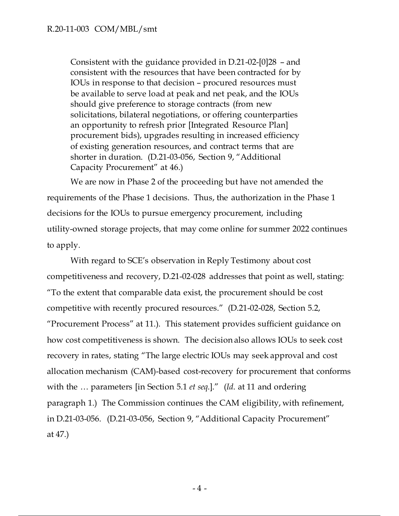Consistent with the guidance provided in D.21-02-[0]28 – and consistent with the resources that have been contracted for by IOUs in response to that decision – procured resources must be available to serve load at peak and net peak, and the IOUs should give preference to storage contracts (from new solicitations, bilateral negotiations, or offering counterparties an opportunity to refresh prior [Integrated Resource Plan] procurement bids), upgrades resulting in increased efficiency of existing generation resources, and contract terms that are shorter in duration. (D.21-03-056, Section 9, "Additional Capacity Procurement" at 46.)

We are now in Phase 2 of the proceeding but have not amended the requirements of the Phase 1 decisions. Thus, the authorization in the Phase 1 decisions for the IOUs to pursue emergency procurement, including utility-owned storage projects, that may come online for summer 2022 continues to apply.

With regard to SCE's observation in Reply Testimony about cost competitiveness and recovery, D.21-02-028 addresses that point as well, stating: "To the extent that comparable data exist, the procurement should be cost competitive with recently procured resources." (D.21-02-028, Section 5.2, "Procurement Process" at 11.). This statement provides sufficient guidance on how cost competitiveness is shown. The decision also allows IOUs to seek cost recovery in rates, stating "The large electric IOUs may seek approval and cost allocation mechanism (CAM)-based cost-recovery for procurement that conforms with the … parameters [in Section 5.1 *et seq*.]." (*Id*. at 11 and ordering paragraph 1.) The Commission continues the CAM eligibility, with refinement, in D.21-03-056. (D.21-03-056, Section 9, "Additional Capacity Procurement" at 47.)

 $-4 -$